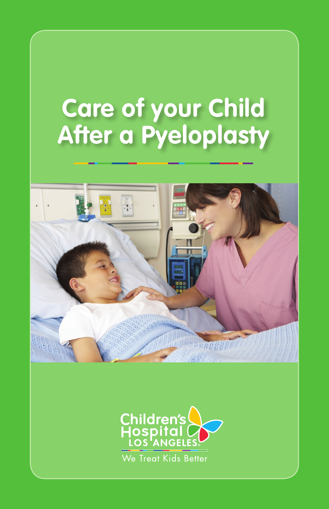# **Care of your Child After a Pyeloplasty**



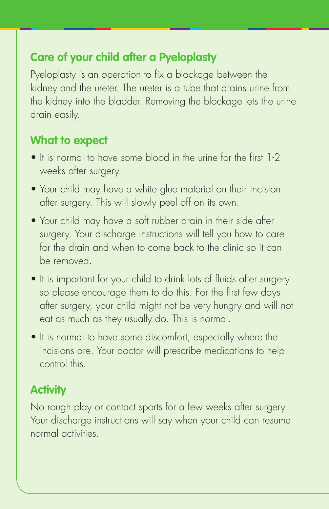# **Care of your child after a Pyeloplasty**

Pyeloplasty is an operation to fix a blockage between the kidney and the ureter. The ureter is a tube that drains urine from the kidney into the bladder. Removing the blockage lets the urine drain easily.

#### **What to expect**

- It is normal to have some blood in the urine for the first 1-2 weeks after surgery.
- Your child may have a white glue material on their incision after surgery. This will slowly peel off on its own.
- Your child may have a soft rubber drain in their side after surgery. Your discharge instructions will tell you how to care for the drain and when to come back to the clinic so it can be removed.
- It is important for your child to drink lots of fluids after surgery so please encourage them to do this. For the first few days after surgery, your child might not be very hungry and will not eat as much as they usually do. This is normal.
- It is normal to have some discomfort, especially where the incisions are. Your doctor will prescribe medications to help control this.

# **Activity**

No rough play or contact sports for a few weeks after surgery. Your discharge instructions will say when your child can resume normal activities.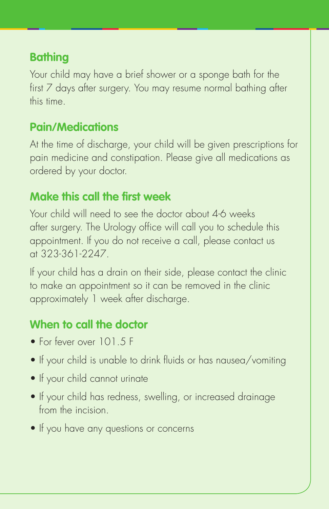### **Bathing**

Your child may have a brief shower or a sponge bath for the first 7 days after surgery. You may resume normal bathing after this time.

#### **Pain/Medications**

At the time of discharge, your child will be given prescriptions for pain medicine and constipation. Please give all medications as ordered by your doctor.

### **Make this call the first week**

Your child will need to see the doctor about 4-6 weeks after surgery. The Urology office will call you to schedule this appointment. If you do not receive a call, please contact us at 323-361-2247.

If your child has a drain on their side, please contact the clinic to make an appointment so it can be removed in the clinic approximately 1 week after discharge.

# **When to call the doctor**

- For fever over 101.5 F
- If your child is unable to drink fluids or has nausea/vomiting
- If your child cannot urinate
- If your child has redness, swelling, or increased drainage from the incision.
- If you have any questions or concerns